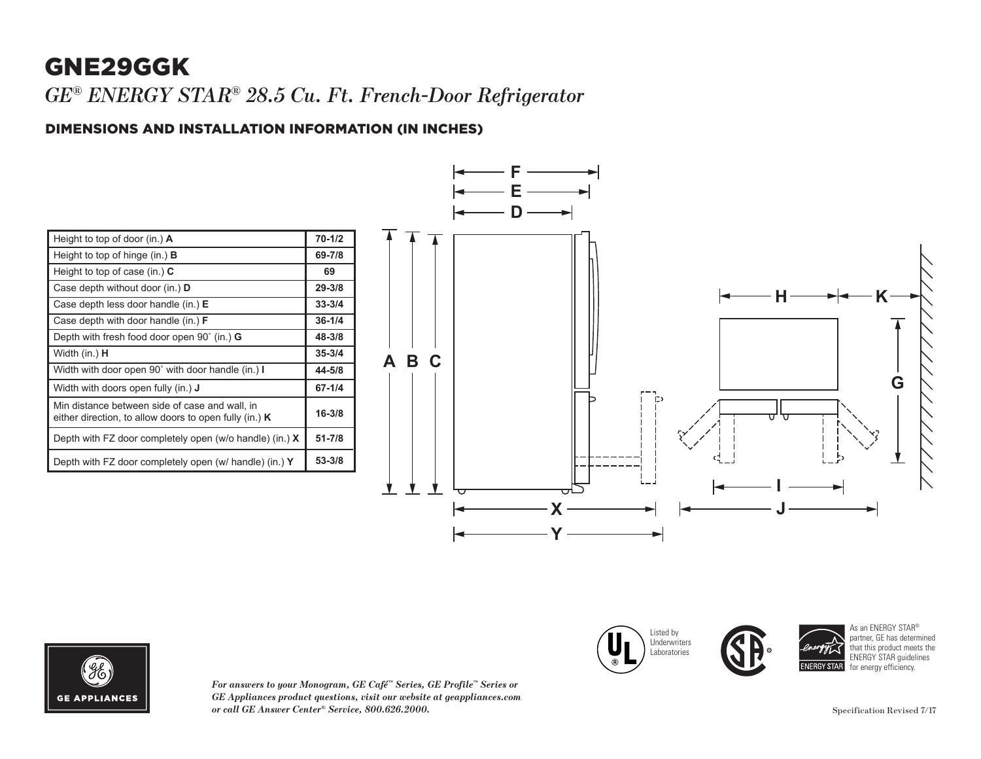### GNE29GGK

*GE® ENERGY STAR® 28.5 Cu. Ft. French-Door Refrigerator*

# DIMENSIONS AND INSTALLATION INFORMATION (IN INCHES) **I**

| Height to top of door (in.) $\bf{A}$                                                                       | $70 - 1/2$ |
|------------------------------------------------------------------------------------------------------------|------------|
| Height to top of hinge (in.) $\bf{B}$                                                                      | 69-7/8     |
| Height to top of case (in.) $C$                                                                            | 69         |
| Case depth without door (in.) <b>D</b>                                                                     | $29 - 3/8$ |
| Case depth less door handle (in.) $E$                                                                      | $33 - 3/4$ |
| Case depth with door handle (in.) F                                                                        | $36 - 1/4$ |
| Depth with fresh food door open $90^{\circ}$ (in.) G                                                       | 48-3/8     |
| Width (in.) <b>H</b>                                                                                       | $35 - 3/4$ |
| Width with door open 90° with door handle (in.) I                                                          | 44-5/8     |
| Width with doors open fully (in.) <b>J</b>                                                                 | $67 - 1/4$ |
| Min distance between side of case and wall, in<br>either direction, to allow doors to open fully (in.) $K$ | $16 - 3/8$ |
| Depth with FZ door completely open (w/o handle) (in.) $X$                                                  | $51 - 7/8$ |
| Depth with FZ door completely open (w/ handle) (in.) Y                                                     | $53 - 3/8$ |





*For answers to your Monogram, GE Café™ Series, GE Profile™ Series or*   $GE$  *Appliances product questions, visit our website at geappliances.com or call GE Answer Center® Service, 800.626.2000.* Specification Revised 7/17

Listed by **Underwriters** Laboratories Case depth without door (in.) **D** Case depth less door handle (in.) **E** Case depth with door handle (in.) **F**